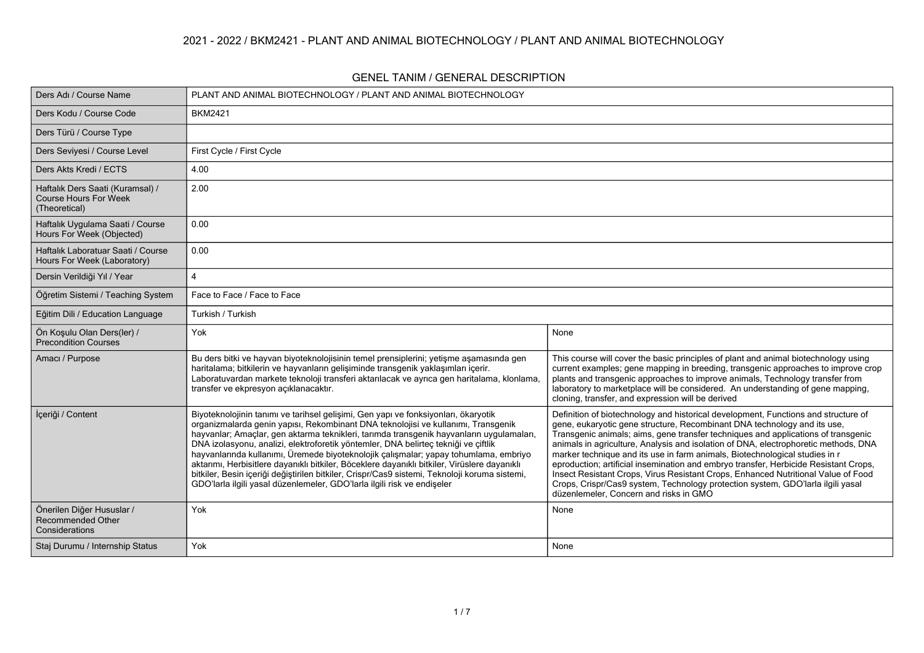### **2021 - 2022 / BKM2421 - PLANT AND ANIMAL BIOTECHNOLOGY / PLANT AND ANIMAL BIOTECHNOLOGY**

#### **GENEL TANIM / GENERAL DESCRIPTION**

| Ders Adı / Course Name                                                            | PLANT AND ANIMAL BIOTECHNOLOGY / PLANT AND ANIMAL BIOTECHNOLOGY                                                                                                                                                                                                                                                                                                                                                                                                                                                                                                                                                                                                                                                               |                                                                                                                                                                                                                                                                                                                                                                                                                                                                                                                                                                                                                                                                                                                                     |
|-----------------------------------------------------------------------------------|-------------------------------------------------------------------------------------------------------------------------------------------------------------------------------------------------------------------------------------------------------------------------------------------------------------------------------------------------------------------------------------------------------------------------------------------------------------------------------------------------------------------------------------------------------------------------------------------------------------------------------------------------------------------------------------------------------------------------------|-------------------------------------------------------------------------------------------------------------------------------------------------------------------------------------------------------------------------------------------------------------------------------------------------------------------------------------------------------------------------------------------------------------------------------------------------------------------------------------------------------------------------------------------------------------------------------------------------------------------------------------------------------------------------------------------------------------------------------------|
| Ders Kodu / Course Code                                                           | <b>BKM2421</b>                                                                                                                                                                                                                                                                                                                                                                                                                                                                                                                                                                                                                                                                                                                |                                                                                                                                                                                                                                                                                                                                                                                                                                                                                                                                                                                                                                                                                                                                     |
| Ders Türü / Course Type                                                           |                                                                                                                                                                                                                                                                                                                                                                                                                                                                                                                                                                                                                                                                                                                               |                                                                                                                                                                                                                                                                                                                                                                                                                                                                                                                                                                                                                                                                                                                                     |
| Ders Seviyesi / Course Level                                                      | First Cycle / First Cycle                                                                                                                                                                                                                                                                                                                                                                                                                                                                                                                                                                                                                                                                                                     |                                                                                                                                                                                                                                                                                                                                                                                                                                                                                                                                                                                                                                                                                                                                     |
| Ders Akts Kredi / ECTS                                                            | 4.00                                                                                                                                                                                                                                                                                                                                                                                                                                                                                                                                                                                                                                                                                                                          |                                                                                                                                                                                                                                                                                                                                                                                                                                                                                                                                                                                                                                                                                                                                     |
| Haftalık Ders Saati (Kuramsal) /<br><b>Course Hours For Week</b><br>(Theoretical) | 2.00                                                                                                                                                                                                                                                                                                                                                                                                                                                                                                                                                                                                                                                                                                                          |                                                                                                                                                                                                                                                                                                                                                                                                                                                                                                                                                                                                                                                                                                                                     |
| Haftalık Uygulama Saati / Course<br>Hours For Week (Objected)                     | 0.00                                                                                                                                                                                                                                                                                                                                                                                                                                                                                                                                                                                                                                                                                                                          |                                                                                                                                                                                                                                                                                                                                                                                                                                                                                                                                                                                                                                                                                                                                     |
| Haftalık Laboratuar Saati / Course<br>Hours For Week (Laboratory)                 | 0.00                                                                                                                                                                                                                                                                                                                                                                                                                                                                                                                                                                                                                                                                                                                          |                                                                                                                                                                                                                                                                                                                                                                                                                                                                                                                                                                                                                                                                                                                                     |
| Dersin Verildiği Yıl / Year                                                       | 4                                                                                                                                                                                                                                                                                                                                                                                                                                                                                                                                                                                                                                                                                                                             |                                                                                                                                                                                                                                                                                                                                                                                                                                                                                                                                                                                                                                                                                                                                     |
| Öğretim Sistemi / Teaching System                                                 | Face to Face / Face to Face                                                                                                                                                                                                                                                                                                                                                                                                                                                                                                                                                                                                                                                                                                   |                                                                                                                                                                                                                                                                                                                                                                                                                                                                                                                                                                                                                                                                                                                                     |
| Eğitim Dili / Education Language                                                  | Turkish / Turkish                                                                                                                                                                                                                                                                                                                                                                                                                                                                                                                                                                                                                                                                                                             |                                                                                                                                                                                                                                                                                                                                                                                                                                                                                                                                                                                                                                                                                                                                     |
| Ön Kosulu Olan Ders(ler) /<br><b>Precondition Courses</b>                         | Yok                                                                                                                                                                                                                                                                                                                                                                                                                                                                                                                                                                                                                                                                                                                           | None                                                                                                                                                                                                                                                                                                                                                                                                                                                                                                                                                                                                                                                                                                                                |
| Amacı / Purpose                                                                   | Bu ders bitki ve hayvan biyoteknolojisinin temel prensiplerini; yetişme aşamasında gen<br>haritalama; bitkilerin ve hayvanların gelişiminde transgenik yaklaşımları içerir.<br>Laboratuvardan markete teknoloji transferi aktarılacak ve ayrıca gen haritalama, klonlama,<br>transfer ve ekpresyon açıklanacaktır.                                                                                                                                                                                                                                                                                                                                                                                                            | This course will cover the basic principles of plant and animal biotechnology using<br>current examples; gene mapping in breeding, transgenic approaches to improve crop<br>plants and transgenic approaches to improve animals, Technology transfer from<br>laboratory to marketplace will be considered. An understanding of gene mapping,<br>cloning, transfer, and expression will be derived                                                                                                                                                                                                                                                                                                                                   |
| İçeriği / Content                                                                 | Biyoteknolojinin tanımı ve tarihsel gelişimi, Gen yapı ve fonksiyonları, ökaryotik<br>organizmalarda genin yapısı, Rekombinant DNA teknolojisi ve kullanımı, Transgenik<br>hayvanlar; Amaçlar, gen aktarma teknikleri, tarımda transgenik hayvanların uygulamaları,<br>DNA izolasyonu, analizi, elektroforetik yöntemler, DNA belirteç tekniği ve çiftlik<br>hayvanlarında kullanımı, Üremede biyoteknolojik çalışmalar; yapay tohumlama, embriyo<br>aktarımı, Herbisitlere dayanıklı bitkiler, Böceklere dayanıklı bitkiler, Virüslere dayanıklı<br>bitkiler, Besin içeriği değiştirilen bitkiler, Crispr/Cas9 sistemi, Teknoloji koruma sistemi,<br>GDO'larla ilgili yasal düzenlemeler, GDO'larla ilgili risk ve endişeler | Definition of biotechnology and historical development, Functions and structure of<br>gene, eukaryotic gene structure, Recombinant DNA technology and its use,<br>Transgenic animals; aims, gene transfer techniques and applications of transgenic<br>animals in agriculture, Analysis and isolation of DNA, electrophoretic methods, DNA<br>marker technique and its use in farm animals, Biotechnological studies in r<br>eproduction; artificial insemination and embryo transfer, Herbicide Resistant Crops,<br>Insect Resistant Crops, Virus Resistant Crops, Enhanced Nutritional Value of Food<br>Crops, Crispr/Cas9 system, Technology protection system, GDO'larla ilgili yasal<br>düzenlemeler, Concern and risks in GMO |
| Önerilen Diğer Hususlar /<br>Recommended Other<br>Considerations                  | Yok                                                                                                                                                                                                                                                                                                                                                                                                                                                                                                                                                                                                                                                                                                                           | None                                                                                                                                                                                                                                                                                                                                                                                                                                                                                                                                                                                                                                                                                                                                |
| Staj Durumu / Internship Status                                                   | Yok                                                                                                                                                                                                                                                                                                                                                                                                                                                                                                                                                                                                                                                                                                                           | None                                                                                                                                                                                                                                                                                                                                                                                                                                                                                                                                                                                                                                                                                                                                |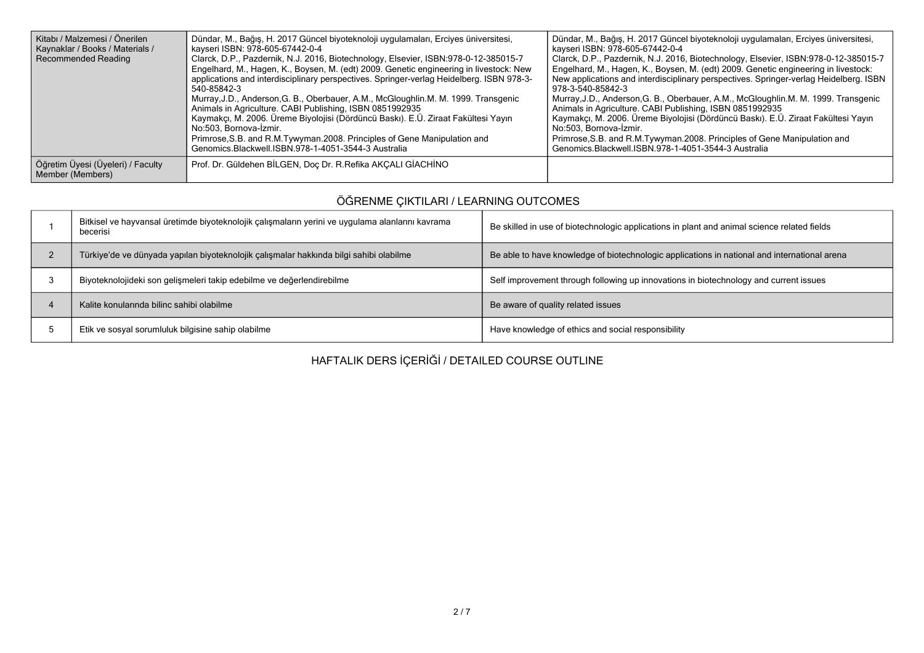| Kitabı / Malzemesi / Önerilen<br>Kaynaklar / Books / Materials /<br><b>Recommended Reading</b> | Dündar, M., Bağış, H. 2017 Güncel biyoteknoloji uygulamaları, Erciyes üniversitesi,<br>kayseri ISBN: 978-605-67442-0-4<br>Clarck, D.P., Pazdernik, N.J. 2016, Biotechnology, Elsevier, ISBN:978-0-12-385015-7<br>Engelhard, M., Hagen, K., Boysen, M. (edt) 2009. Genetic engineering in livestock: New<br>applications and interdisciplinary perspectives. Springer-verlag Heidelberg. ISBN 978-3-<br>540-85842-3<br>Murray, J.D., Anderson, G. B., Oberbauer, A.M., McGloughlin.M. M. 1999. Transgenic<br>Animals in Agriculture. CABI Publishing, ISBN 0851992935<br>Kaymakçı, M. 2006. Üreme Biyolojisi (Dördüncü Baskı). E.Ü. Ziraat Fakültesi Yayın<br>No.503. Bornova-İzmir.<br>Primrose, S.B. and R.M.Tywyman.2008. Principles of Gene Manipulation and<br>Genomics.Blackwell.ISBN.978-1-4051-3544-3 Australia | Dündar, M., Bağış, H. 2017 Güncel biyoteknoloji uygulamaları, Erciyes üniversitesi,<br>kayseri ISBN: 978-605-67442-0-4<br>Clarck, D.P., Pazdernik, N.J. 2016, Biotechnology, Elsevier, ISBN:978-0-12-385015-7<br>Engelhard, M., Hagen, K., Boysen, M. (edt) 2009. Genetic engineering in livestock:<br>New applications and interdisciplinary perspectives. Springer-verlag Heidelberg. ISBN<br>978-3-540-85842-3<br>Murray, J.D., Anderson, G. B., Oberbauer, A.M., McGloughlin.M. M. 1999. Transgenic<br>Animals in Agriculture. CABI Publishing, ISBN 0851992935<br>Kaymakçı, M. 2006. Üreme Biyolojisi (Dördüncü Baskı). E.Ü. Ziraat Fakültesi Yayın<br>No:503. Bornova-İzmir.<br>Primrose, S.B. and R.M.Tywyman.2008. Principles of Gene Manipulation and<br>Genomics.Blackwell.ISBN.978-1-4051-3544-3 Australia |
|------------------------------------------------------------------------------------------------|------------------------------------------------------------------------------------------------------------------------------------------------------------------------------------------------------------------------------------------------------------------------------------------------------------------------------------------------------------------------------------------------------------------------------------------------------------------------------------------------------------------------------------------------------------------------------------------------------------------------------------------------------------------------------------------------------------------------------------------------------------------------------------------------------------------------|-----------------------------------------------------------------------------------------------------------------------------------------------------------------------------------------------------------------------------------------------------------------------------------------------------------------------------------------------------------------------------------------------------------------------------------------------------------------------------------------------------------------------------------------------------------------------------------------------------------------------------------------------------------------------------------------------------------------------------------------------------------------------------------------------------------------------|
| Öğretim Üyesi (Üyeleri) / Faculty<br>Member (Members)                                          | Prof. Dr. Güldehen BİLGEN, Doç Dr. R. Refika AKCALI GİACHİNO                                                                                                                                                                                                                                                                                                                                                                                                                                                                                                                                                                                                                                                                                                                                                           |                                                                                                                                                                                                                                                                                                                                                                                                                                                                                                                                                                                                                                                                                                                                                                                                                       |

# **ÖĞRENME ÇIKTILARI / LEARNING OUTCOMES**

| Bitkisel ve hayvansal üretimde biyoteknolojik çalışmaların yerini ve uygulama alanlarını kavrama<br>becerisi | Be skilled in use of biotechnologic applications in plant and animal science related fields  |
|--------------------------------------------------------------------------------------------------------------|----------------------------------------------------------------------------------------------|
| Türkiye'de ve dünyada yapılan biyoteknolojik çalışmalar hakkında bilgi sahibi olabilme                       | Be able to have knowledge of biotechnologic applications in national and international arena |
| Biyoteknolojideki son gelişmeleri takip edebilme ve değerlendirebilme                                        | Self improvement through following up innovations in biotechnology and current issues        |
| Kalite konularında bilinc sahibi olabilme                                                                    | Be aware of quality related issues                                                           |
| Etik ve sosyal sorumluluk bilgisine sahip olabilme                                                           | Have knowledge of ethics and social responsibility                                           |

**HAFTALIK DERS İÇERİĞİ / DETAILED COURSE OUTLINE**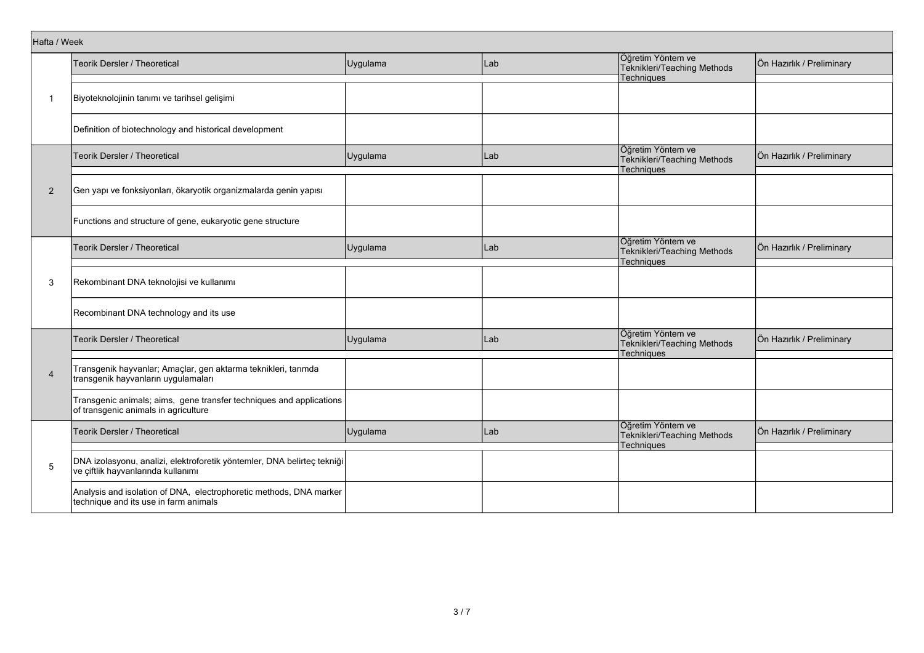| Hafta / Week   |                                                                                                               |          |     |                                                                       |                           |
|----------------|---------------------------------------------------------------------------------------------------------------|----------|-----|-----------------------------------------------------------------------|---------------------------|
|                | Teorik Dersler / Theoretical                                                                                  | Uygulama | Lab | Öğretim Yöntem ve<br>Teknikleri/Teaching Methods<br><b>Techniques</b> | Ön Hazırlık / Preliminary |
| 1              | Biyoteknolojinin tanımı ve tarihsel gelişimi                                                                  |          |     |                                                                       |                           |
|                | Definition of biotechnology and historical development                                                        |          |     |                                                                       |                           |
|                | Teorik Dersler / Theoretical                                                                                  | Uygulama | Lab | Öğretim Yöntem ve<br>Teknikleri/Teaching Methods<br>Techniques        | Ön Hazırlık / Preliminary |
| $\overline{2}$ | Gen yapı ve fonksiyonları, ökaryotik organizmalarda genin yapısı                                              |          |     |                                                                       |                           |
|                | Functions and structure of gene, eukaryotic gene structure                                                    |          |     |                                                                       |                           |
|                | Teorik Dersler / Theoretical                                                                                  | Uygulama | Lab | Öğretim Yöntem ve<br>Teknikleri/Teaching Methods<br>Techniques        | Ön Hazırlık / Preliminary |
| 3              | Rekombinant DNA teknolojisi ve kullanımı                                                                      |          |     |                                                                       |                           |
|                | Recombinant DNA technology and its use                                                                        |          |     |                                                                       |                           |
|                | Teorik Dersler / Theoretical                                                                                  | Uygulama | Lab | Öğretim Yöntem ve<br>Teknikleri/Teaching Methods<br><b>Techniques</b> | Ön Hazırlık / Preliminary |
| $\overline{4}$ | Transgenik hayvanlar; Amaçlar, gen aktarma teknikleri, tarımda<br>transgenik hayvanların uygulamaları         |          |     |                                                                       |                           |
|                | Transgenic animals; aims, gene transfer techniques and applications<br>of transgenic animals in agriculture   |          |     |                                                                       |                           |
|                | Teorik Dersler / Theoretical                                                                                  | Uygulama | Lab | Öğretim Yöntem ve<br>Teknikleri/Teaching Methods<br>Techniques        | Ön Hazırlık / Preliminary |
| 5              | DNA izolasyonu, analizi, elektroforetik yöntemler, DNA belirteç tekniği<br>ve çiftlik hayvanlarında kullanımı |          |     |                                                                       |                           |
|                | Analysis and isolation of DNA, electrophoretic methods, DNA marker<br>technique and its use in farm animals   |          |     |                                                                       |                           |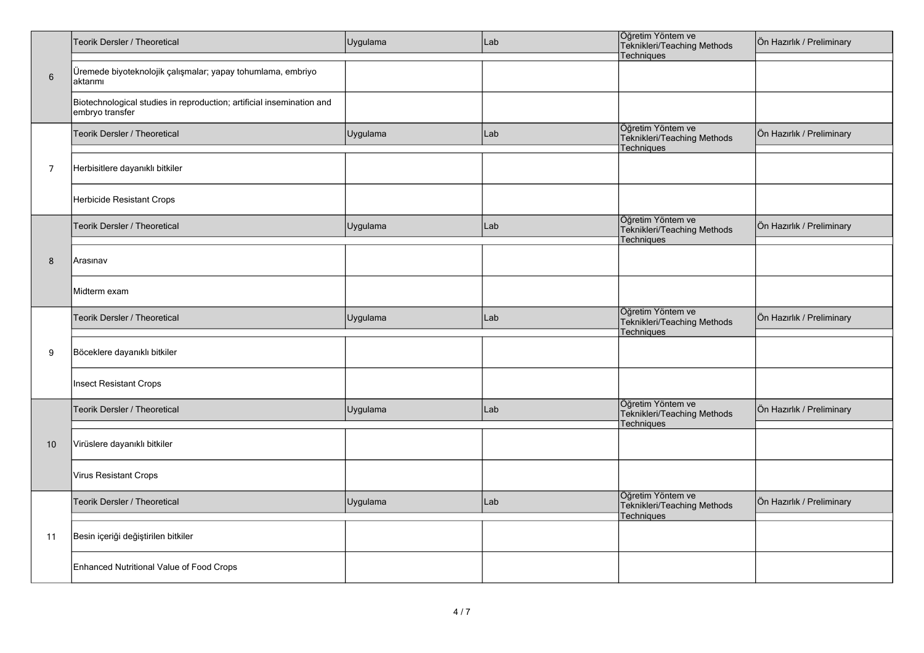|                 | Teorik Dersler / Theoretical                                                             | Uygulama | Lab | Öğretim Yöntem ve<br>Teknikleri/Teaching Methods<br>Techniques        | Ön Hazırlık / Preliminary |  |  |
|-----------------|------------------------------------------------------------------------------------------|----------|-----|-----------------------------------------------------------------------|---------------------------|--|--|
| $6\phantom{1}6$ | Üremede biyoteknolojik çalışmalar; yapay tohumlama, embriyo<br>aktarımı                  |          |     |                                                                       |                           |  |  |
|                 | Biotechnological studies in reproduction; artificial insemination and<br>embryo transfer |          |     |                                                                       |                           |  |  |
|                 | Teorik Dersler / Theoretical                                                             | Uygulama | Lab | Öğretim Yöntem ve<br>Teknikleri/Teaching Methods<br>Techniques        | Ön Hazırlık / Preliminary |  |  |
| $\overline{7}$  | Herbisitlere dayanıklı bitkiler                                                          |          |     |                                                                       |                           |  |  |
|                 | Herbicide Resistant Crops                                                                |          |     |                                                                       |                           |  |  |
|                 | <b>Teorik Dersler / Theoretical</b>                                                      | Uygulama | Lab | Öğretim Yöntem ve<br>Teknikleri/Teaching Methods<br>Techniques        | Ön Hazırlık / Preliminary |  |  |
| 8               | Arasınav                                                                                 |          |     |                                                                       |                           |  |  |
|                 | Midterm exam                                                                             |          |     |                                                                       |                           |  |  |
|                 | Teorik Dersler / Theoretical                                                             | Uygulama | Lab | Öğretim Yöntem ve<br>Teknikleri/Teaching Methods<br><b>Techniques</b> | Ön Hazırlık / Preliminary |  |  |
| 9               | Böceklere dayanıklı bitkiler                                                             |          |     |                                                                       |                           |  |  |
|                 | Insect Resistant Crops                                                                   |          |     |                                                                       |                           |  |  |
|                 | Teorik Dersler / Theoretical                                                             | Uygulama | Lab | Öğretim Yöntem ve<br>Teknikleri/Teaching Methods<br><b>Techniques</b> | Ön Hazırlık / Preliminary |  |  |
| 10              | Virüslere dayanıklı bitkiler                                                             |          |     |                                                                       |                           |  |  |
|                 | Virus Resistant Crops                                                                    |          |     |                                                                       |                           |  |  |
|                 | Teorik Dersler / Theoretical                                                             | Uygulama | Lab | Öğretim Yöntem ve<br>Teknikleri/Teaching Methods<br>Techniques        | Ön Hazırlık / Preliminary |  |  |
| 11              | Besin içeriği değiştirilen bitkiler                                                      |          |     |                                                                       |                           |  |  |
|                 | Enhanced Nutritional Value of Food Crops                                                 |          |     |                                                                       |                           |  |  |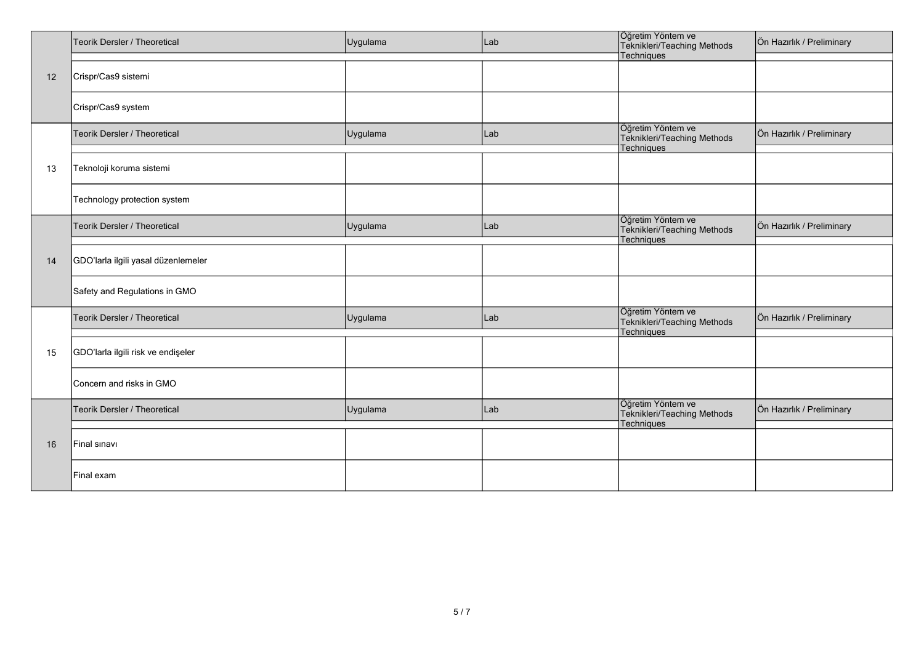|          | Teorik Dersler / Theoretical        | Uygulama | Lab | Öğretim Yöntem ve<br>Teknikleri/Teaching Methods               | Ön Hazırlık / Preliminary |
|----------|-------------------------------------|----------|-----|----------------------------------------------------------------|---------------------------|
|          |                                     |          |     | Techniques                                                     |                           |
| 12       | Crispr/Cas9 sistemi                 |          |     |                                                                |                           |
| 13<br>14 | Crispr/Cas9 system                  |          |     |                                                                |                           |
|          | Teorik Dersler / Theoretical        | Uygulama | Lab | Öğretim Yöntem ve<br>Teknikleri/Teaching Methods<br>Techniques | Ön Hazırlık / Preliminary |
|          | Teknoloji koruma sistemi            |          |     |                                                                |                           |
|          | Technology protection system        |          |     |                                                                |                           |
|          | Teorik Dersler / Theoretical        | Uygulama | Lab | Öğretim Yöntem ve<br>Teknikleri/Teaching Methods<br>Techniques | Ön Hazırlık / Preliminary |
|          | GDO'larla ilgili yasal düzenlemeler |          |     |                                                                |                           |
|          | Safety and Regulations in GMO       |          |     |                                                                |                           |
|          | Teorik Dersler / Theoretical        | Uygulama | Lab | Öğretim Yöntem ve<br>Teknikleri/Teaching Methods<br>Techniques | Ön Hazırlık / Preliminary |
| 15       | GDO'larla ilgili risk ve endişeler  |          |     |                                                                |                           |
|          | Concern and risks in GMO            |          |     |                                                                |                           |
|          | Teorik Dersler / Theoretical        | Uygulama | Lab | Öğretim Yöntem ve<br>Teknikleri/Teaching Methods<br>Techniques | Ön Hazırlık / Preliminary |
| 16       | Final sinavi                        |          |     |                                                                |                           |
|          | Final exam                          |          |     |                                                                |                           |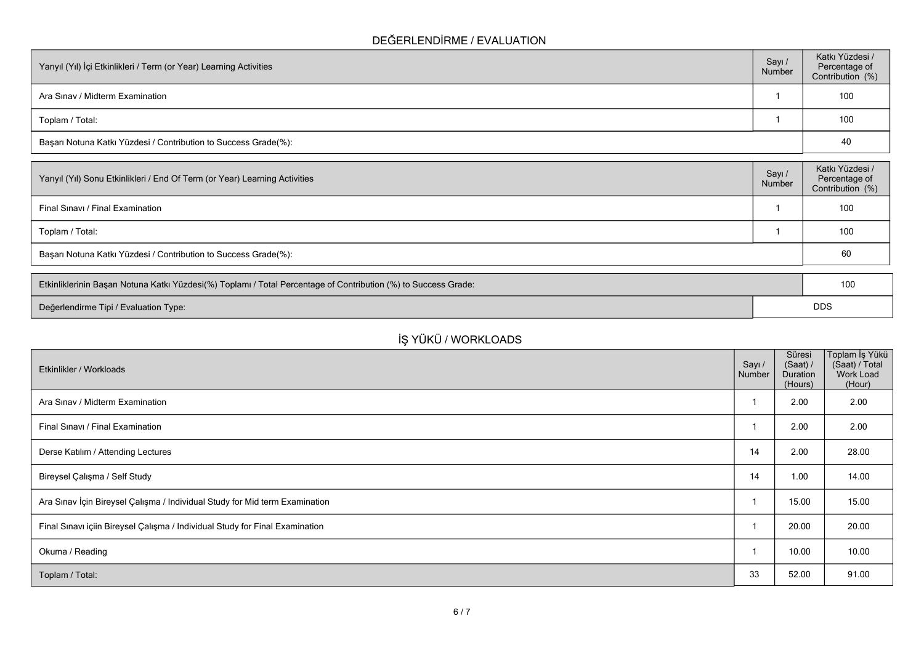## **DEĞERLENDİRME / EVALUATION**

| Yarıyıl (Yıl) İçi Etkinlikleri / Term (or Year) Learning Activities |  | Katkı Yüzdesi /<br>Percentage of<br>Contribution (%) |
|---------------------------------------------------------------------|--|------------------------------------------------------|
| Ara Sinav / Midterm Examination                                     |  | 100                                                  |
| Toplam / Total:                                                     |  | 100                                                  |
| Başarı Notuna Katkı Yüzdesi / Contribution to Success Grade(%):     |  | 40                                                   |

| Yarıyıl (Yıl) Sonu Etkinlikleri / End Of Term (or Year) Learning Activities | Sayı/<br>Number | Katkı Yüzdesi /<br>Percentage of<br>Contribution (%) |  |
|-----------------------------------------------------------------------------|-----------------|------------------------------------------------------|--|
| Final Sinavi / Final Examination                                            |                 | 100                                                  |  |
| Toplam / Total:                                                             |                 | 100                                                  |  |
| Başarı Notuna Katkı Yüzdesi / Contribution to Success Grade(%):             |                 |                                                      |  |
|                                                                             |                 |                                                      |  |

| Etkinliklerinin Başarı Notuna Katkı Yüzdesi(%) Toplamı / Total Percentage of Contribution (%) to Success Grade: |  | 100        |
|-----------------------------------------------------------------------------------------------------------------|--|------------|
| Değerlendirme Tipi / Evaluation Type:                                                                           |  | <b>DDS</b> |

# **İŞ YÜKÜ / WORKLOADS**

| Etkinlikler / Workloads                                                      | Sayı /<br>Number | Süresi<br>(Saat) /<br>Duration<br>(Hours) | ∣Toplam İş Yükü<br>(Saat) / Total<br>Work Load<br>(Hour) |
|------------------------------------------------------------------------------|------------------|-------------------------------------------|----------------------------------------------------------|
| Ara Sinav / Midterm Examination                                              |                  | 2.00                                      | 2.00                                                     |
| Final Sinavi / Final Examination                                             |                  | 2.00                                      | 2.00                                                     |
| Derse Katılım / Attending Lectures                                           | 14               | 2.00                                      | 28.00                                                    |
| Bireysel Çalışma / Self Study                                                | 14               | 1.00                                      | 14.00                                                    |
| Ara Sınav İçin Bireysel Çalışma / Individual Study for Mid term Examination  |                  | 15.00                                     | 15.00                                                    |
| Final Sınavı içiin Bireysel Çalışma / Individual Study for Final Examination |                  | 20.00                                     | 20.00                                                    |
| Okuma / Reading                                                              |                  | 10.00                                     | 10.00                                                    |
| Toplam / Total:                                                              | 33               | 52.00                                     | 91.00                                                    |